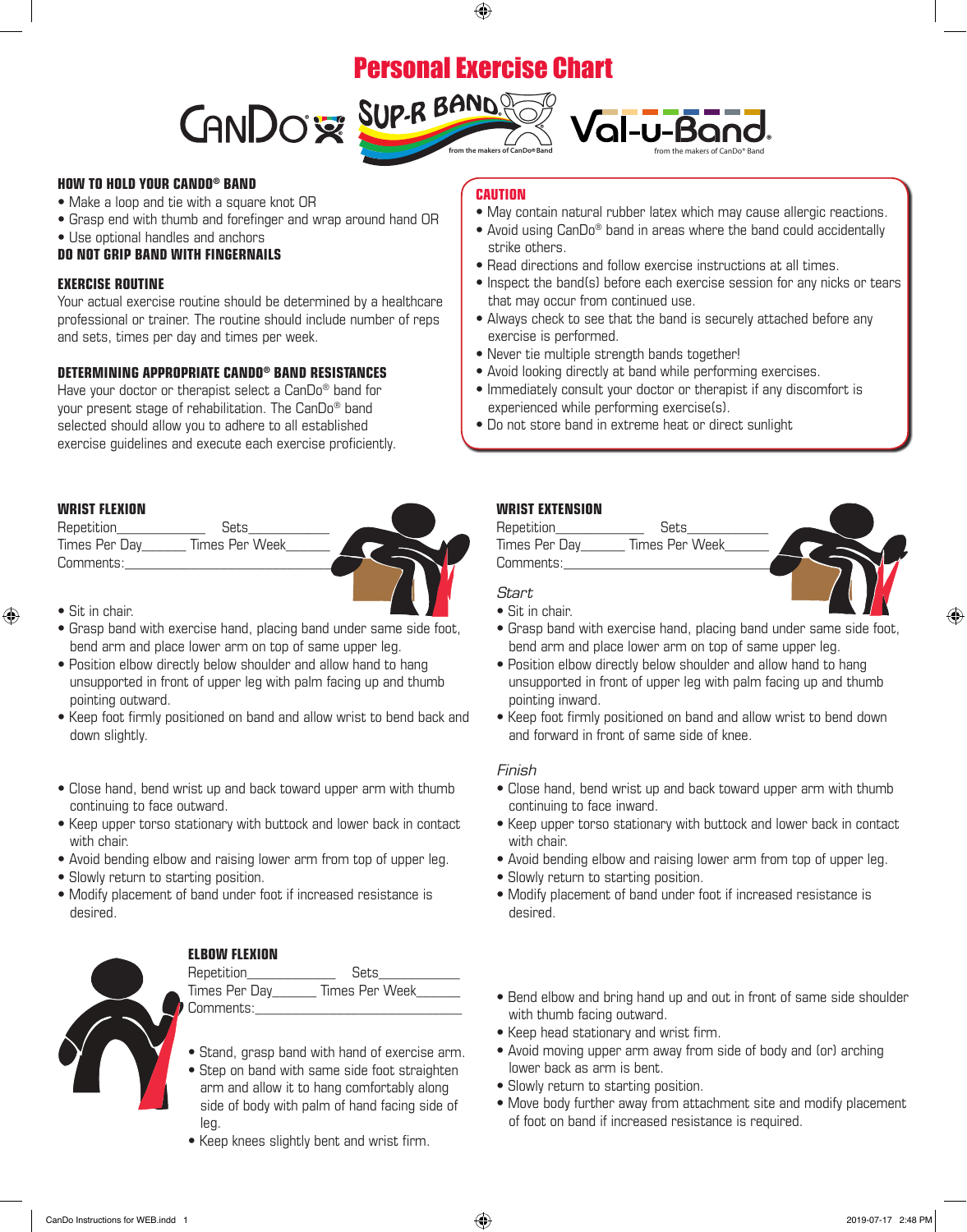# Personal Exercise Chart

 $\bigoplus$ 





#### **HOW TO HOLD YOUR CANDO® BAND**

- Make a loop and tie with a square knot OR
- Grasp end with thumb and forefinger and wrap around hand OR
- Use optional handles and anchors

### **DO NOT GRIP BAND WITH FINGERNAILS**

#### **EXERCISE ROUTINE**

Your actual exercise routine should be determined by a healthcare professional or trainer. The routine should include number of reps and sets, times per day and times per week.

## **DETERMINING APPROPRIATE CANDO® BAND RESISTANCES**

Have your doctor or therapist select a CanDo® band for your present stage of rehabilitation. The CanDo® band selected should allow you to adhere to all established exercise guidelines and execute each exercise proficiently.

#### **WRIST FLEXION**

Repetition\_\_\_\_\_\_\_\_\_\_\_\_ Sets\_\_\_\_\_\_\_\_\_\_\_ Times Per Day\_\_\_\_\_\_\_ Times Per Week Comments:



• Sit in chair.

⊕

- Grasp band with exercise hand, placing band under same side foot, bend arm and place lower arm on top of same upper leg.
- Position elbow directly below shoulder and allow hand to hang unsupported in front of upper leg with palm facing up and thumb pointing outward.
- Keep foot firmly positioned on band and allow wrist to bend back and down slightly.
- Close hand, bend wrist up and back toward upper arm with thumb continuing to face outward.
- Keep upper torso stationary with buttock and lower back in contact with chair.
- Avoid bending elbow and raising lower arm from top of upper leg.
- Slowly return to starting position.
- Modify placement of band under foot if increased resistance is desired.



## **ELBOW FLEXION**

Repetition\_\_\_\_\_\_\_\_\_\_\_\_ Sets\_\_\_\_\_\_\_\_\_\_\_ Times Per Day\_\_\_\_\_\_ Times Per Week\_\_\_\_\_\_ Comments:

- Stand, grasp band with hand of exercise arm.
- Step on band with same side foot straighten arm and allow it to hang comfortably along side of body with palm of hand facing side of leg.
- Keep knees slightly bent and wrist firm.

## **CAUTION**

- May contain natural rubber latex which may cause allergic reactions.
- Avoid using CanDo<sup>®</sup> band in areas where the band could accidentally strike others.
- Read directions and follow exercise instructions at all times.
- Inspect the band(s) before each exercise session for any nicks or tears that may occur from continued use.
- Always check to see that the band is securely attached before any exercise is performed.
- Never tie multiple strength bands together!
- Avoid looking directly at band while performing exercises.
- Immediately consult your doctor or therapist if any discomfort is experienced while performing exercise(s).
- Do not store band in extreme heat or direct sunlight

## **WRIST EXTENSION**

Repetition\_\_\_\_\_\_\_\_\_\_\_\_ Sets\_\_\_\_\_\_\_\_\_\_\_ Times Per Day\_\_\_\_\_\_\_ Times Per Week Comments:

Start

- Sit in chair.
- Grasp band with exercise hand, placing band under same side foot, bend arm and place lower arm on top of same upper leg.
- Position elbow directly below shoulder and allow hand to hang unsupported in front of upper leg with palm facing up and thumb pointing inward.
- Keep foot firmly positioned on band and allow wrist to bend down and forward in front of same side of knee.

### Finish

- Close hand, bend wrist up and back toward upper arm with thumb continuing to face inward.
- Keep upper torso stationary with buttock and lower back in contact with chair.
- Avoid bending elbow and raising lower arm from top of upper leg.
- Slowly return to starting position.
- Modify placement of band under foot if increased resistance is desired.
- Bend elbow and bring hand up and out in front of same side shoulder with thumb facing outward.
- Keep head stationary and wrist firm.
- Avoid moving upper arm away from side of body and (or) arching lower back as arm is bent.
- Slowly return to starting position.
- Move body further away from attachment site and modify placement of foot on band if increased resistance is required.

⊕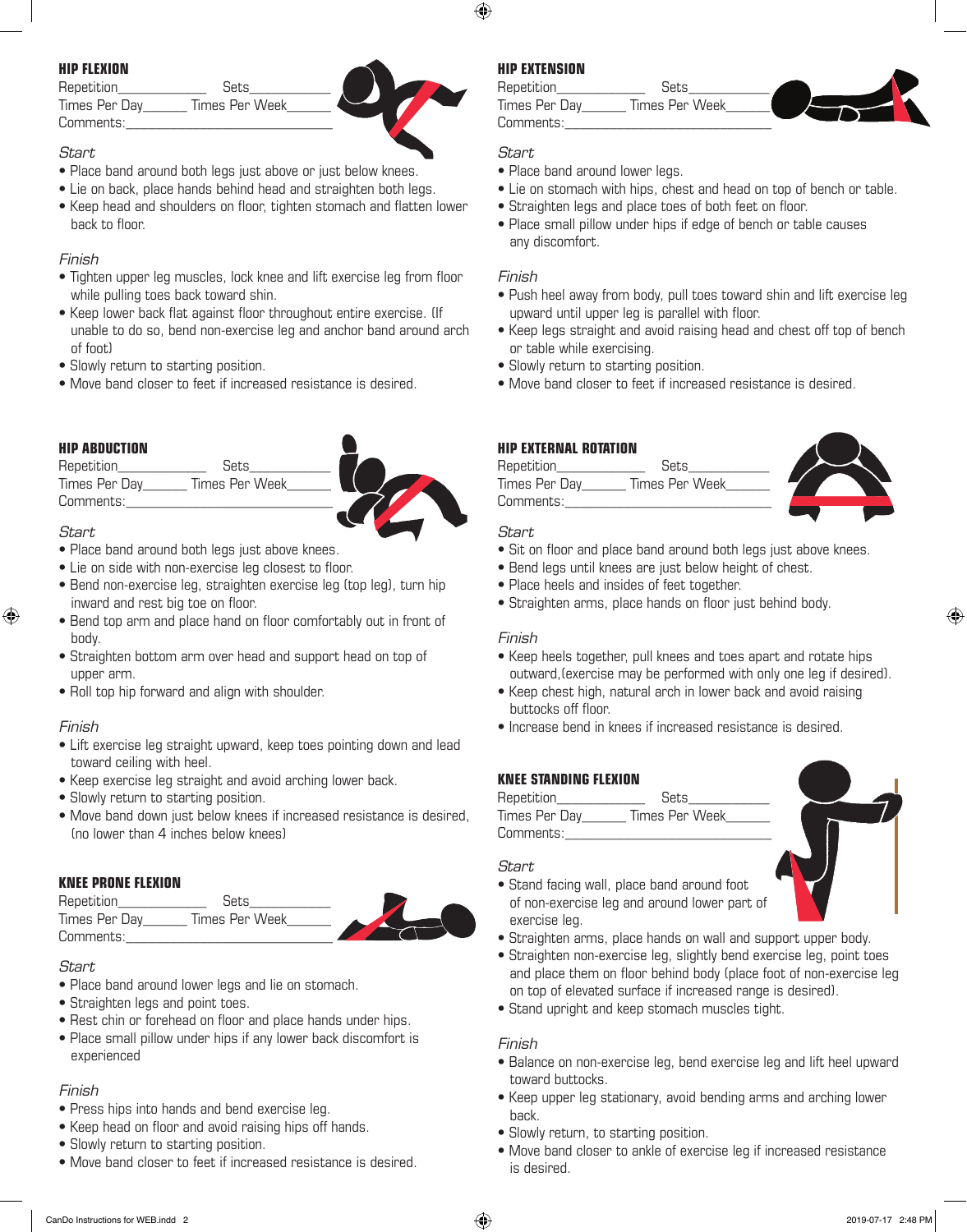## **HIP FLEXION**

| Repetition    | Sets           |
|---------------|----------------|
| Times Per Day | Times Per Week |
| Comments:     |                |

## Start

- Place band around both legs just above or just below knees.
- $\bullet$  Lie on back, place hands behind head and straighten both legs.
- Keep head and shoulders on floor, tighten stomach and flatten lower back to floor.

## Finish

- Tighten upper leg muscles, lock knee and lift exercise leg from floor while pulling toes back toward shin.
- Keep lower back flat against floor throughout entire exercise. (If unable to do so, bend non-exercise leg and anchor band around arch of foot)
- Slowly return to starting position.
- Move band closer to feet if increased resistance is desired.

## **HIP ABDUCTION**

Repetition\_\_\_\_\_\_\_\_\_\_\_\_ Sets\_\_\_\_\_\_\_\_\_\_\_ Times Per Day Times Per Week Comments:



## **Start**

⊕

- Place band around both legs just above knees.
- Lie on side with non-exercise leg closest to floor.  $\mathbf{B}$
- Bend non-exercise leg, straighten exercise leg (top leg), turn hip inward and rest big toe on floor.
- Bend top arm and place hand on floor comfortably out in front of body.
- Straighten bottom arm over head and support head on top of upper arm.
- Roll top hip forward and align with shoulder.

## Finish

- Lift exercise leg straight upward, keep toes pointing down and lead toward ceiling with heel.
- Keep exercise leg straight and avoid arching lower back.
- Slowly return to starting position.
- Move band down just below knees if increased resistance is desired, (no lower than 4 inches below knees)

## **KNEE PRONE FLEXION**

| Repetition    | Sets           |  |
|---------------|----------------|--|
| Times Per Day | Times Per Week |  |
| Comments:     |                |  |

## **Start**

- Place band around lower legs and lie on stomach.
- Straighten legs and point toes.
- Rest chin or forehead on floor and place hands under hips.
- Place small pillow under hips if any lower back discomfort is experienced

## Finish

- Press hips into hands and bend exercise leg.
- Keep head on floor and avoid raising hips off hands.
- Slowly return to starting position.
- Move band closer to feet if increased resistance is desired.

## **HIP EXTENSION**

Repetition **Sets** Times Per Day\_\_\_\_\_\_\_ Times Per Week Comments:

## Start

⊕

- Place band around lower legs.
- Lie on stomach with hips, chest and head on top of bench or table.
- Straighten legs and place toes of both feet on floor.
- Place small pillow under hips if edge of bench or table causes any discomfort.

## Finish

- Push heel away from body, pull toes toward shin and lift exercise leg upward until upper leg is parallel with floor.
- Keep legs straight and avoid raising head and chest off top of bench or table while exercising.
- Slowly return to starting position.
- Move band closer to feet if increased resistance is desired.

## **HIP EXTERNAL ROTATION**

Repetition\_\_\_\_\_\_\_\_\_\_\_\_ Sets\_\_\_\_\_\_\_\_\_\_\_ Times Per Day Times Per Week Comments:



## **Start**

- حت*art*<br>• Sit on floor and place band around both legs just above knees.
- Bend legs until knees are just below height of chest.
- Place heels and insides of feet together.
- Straighten arms, place hands on floor just behind body.

## Finish

- Keep heels together, pull knees and toes apart and rotate hips outward,(exercise may be performed with only one leg if desired).
- Keep chest high, natural arch in lower back and avoid raising buttocks off floor.
- Increase bend in knees if increased resistance is desired.

## **KNEE STANDING FLEXION**

| Repetition    | Sets           |
|---------------|----------------|
| Times Per Day | Times Per Week |
| Comments:     |                |

## **Start**

- Stand facing wall, place band around foot of non-exercise leg and around lower part of exercise leg.
- Straighten arms, place hands on wall and support upper body.
- Straighten arms, place hands on wall and support upper body.<br>• Straighten non-exercise leg, slightly bend exercise leg, point toes and place them on floor behind body (place foot of non-exercise leg on top of elevated surface if increased range is desired).
- Stand upright and keep stomach muscles tight.

## Finish

- Balance on non-exercise leg, bend exercise leg and lift heel upward toward buttocks.
- Keep upper leg stationary, avoid bending arms and arching lower back.
- Slowly return, to starting position.
- Move band closer to ankle of exercise leg if increased resistance is desired.



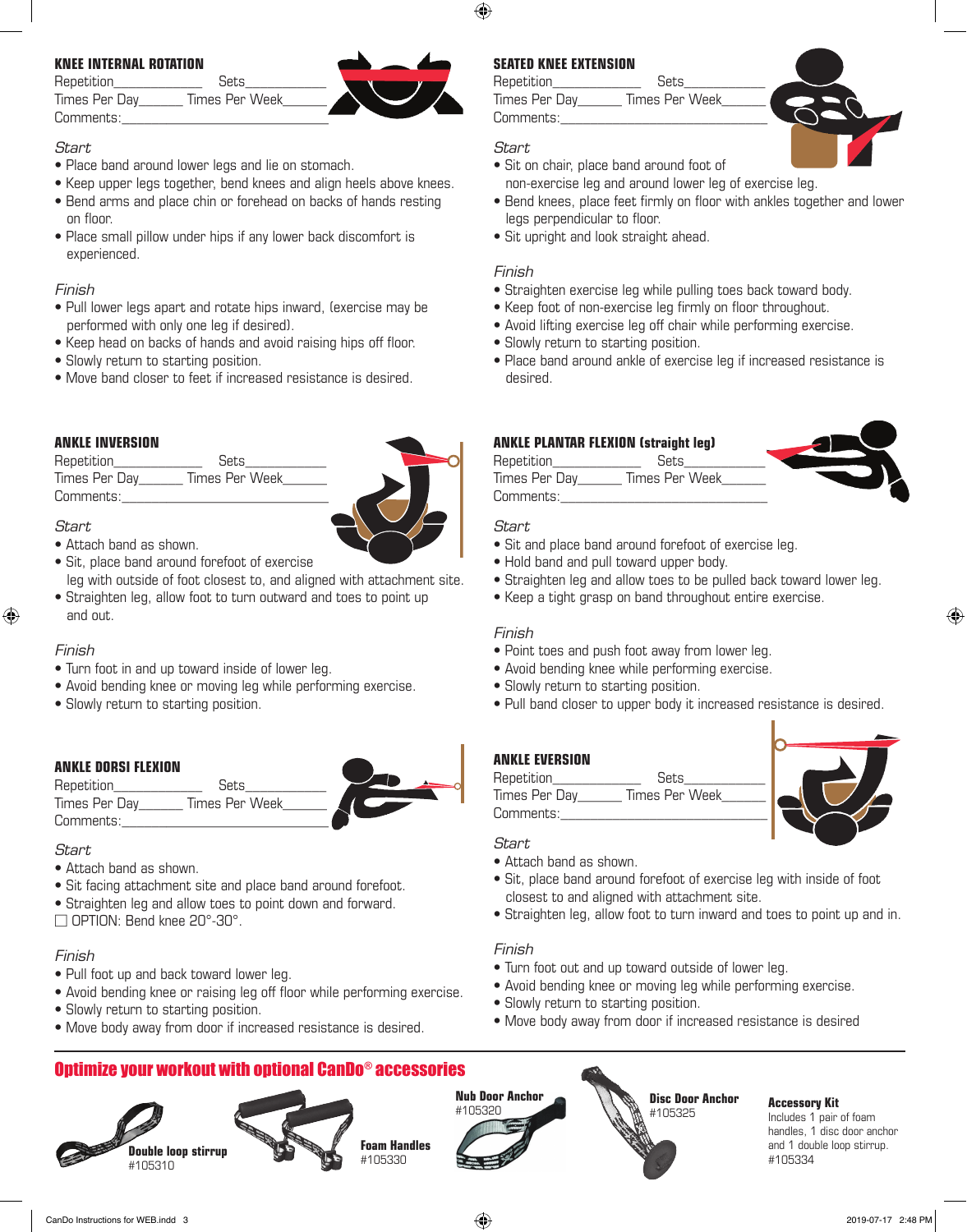## **KNEE INTERNAL ROTATION**

| Repetition    | Sets           |  |
|---------------|----------------|--|
| Times Per Day | Times Per Week |  |
| Comments:     |                |  |

### **Start**

- Place band around lower legs and lie on stomach.
- Keep upper legs together, bend knees and align heels above knees.
- Bend arms and place chin or forehead on backs of hands resting on floor.
- Place small pillow under hips if any lower back discomfort is experienced.

#### Finish

- Pull lower legs apart and rotate hips inward, (exercise may be performed with only one leg if desired).
- Keep head on backs of hands and avoid raising hips off floor.
- Slowly return to starting position.
- Move band closer to feet if increased resistance is desired.

## **ANKLE INVERSION**

Repetition\_\_\_\_\_\_\_\_\_\_\_\_ Sets\_\_\_\_\_\_\_\_\_\_\_ Times Per Day\_\_\_\_\_\_\_ Times Per Week Comments:

#### **Start**

- Attach band as shown.
- Sit, place band around forefoot of exercise
- leg with outside of foot closest to, and aligned with attachment site. • Straighten leg, allow foot to turn outward and toes to point up and out.

## Finish

♠

- Turn foot in and up toward inside of lower leg.
- Avoid bending knee or moving leg while performing exercise.
- Slowly return to starting position.

## **ANKLE DORSI FLEXION**

| ANNLL DUNJI FLLAIUN |                |  |
|---------------------|----------------|--|
| Repetition          | Sets           |  |
| Times Per Day       | Times Per Week |  |
| Comments:           |                |  |

#### Start

- Attach band as shown.
- Sit facing attachment site and place band around forefoot.
- Straighten leg and allow toes to point down and forward.

 $\Box$  OPTION: Bend knee 20°-30°.

## Finish

- Pull foot up and back toward lower leg.
- Avoid bending knee or raising leg off floor while performing exercise.
- Slowly return to starting position.
- Move body away from door if increased resistance is desired.

## **SEATED KNEE EXTENSION**

Repetition **Sets** Times Per Day\_\_\_\_\_\_\_ Times Per Week Comments:

## **Start**

- Sit on chair, place band around foot of non-exercise leg and around lower leg of exercise leg.
- Bend knees, place feet firmly on floor with ankles together and lower legs perpendicular to floor.
- Sit upright and look straight ahead.

## Finish

- Straighten exercise leg while pulling toes back toward body.
- Keep foot of non-exercise leg firmly on floor throughout.
- Avoid lifting exercise leg off chair while performing exercise.
- Slowly return to starting position.
- Place band around ankle of exercise leg if increased resistance is desired.

## **ANKLE PLANTAR FLEXION (straight leg)**

Repetition\_\_\_\_\_\_\_\_\_\_\_\_ Sets\_\_\_\_\_\_\_\_\_\_\_ Times Per Day\_\_\_\_\_\_\_\_ Times Per Week

- Sit and place band around forefoot of exercise leg.
- Hold band and pull toward upper body.
- Straighten leg and allow toes to be pulled back toward lower leg.
- Keep a tight grasp on band throughout entire exercise.

## Finish

- Point toes and push foot away from lower leg.
- Avoid bending knee while performing exercise.
- Slowly return to starting position.
- Pull band closer to upper body it increased resistance is desired.

## **ANKLE EVERSION**

Repetition **Sets** Times Per Day\_\_\_\_\_\_\_ Times Per Week Comments:



⊕

## Start

- Attach band as shown.
- Sit, place band around forefoot of exercise leg with inside of foot closest to and aligned with attachment site.
- Straighten leg, allow foot to turn inward and toes to point up and in.

## Finish

- Turn foot out and up toward outside of lower leg.
- Avoid bending knee or moving leg while performing exercise.
- Slowly return to starting position.
- Move body away from door if increased resistance is desired











⊕